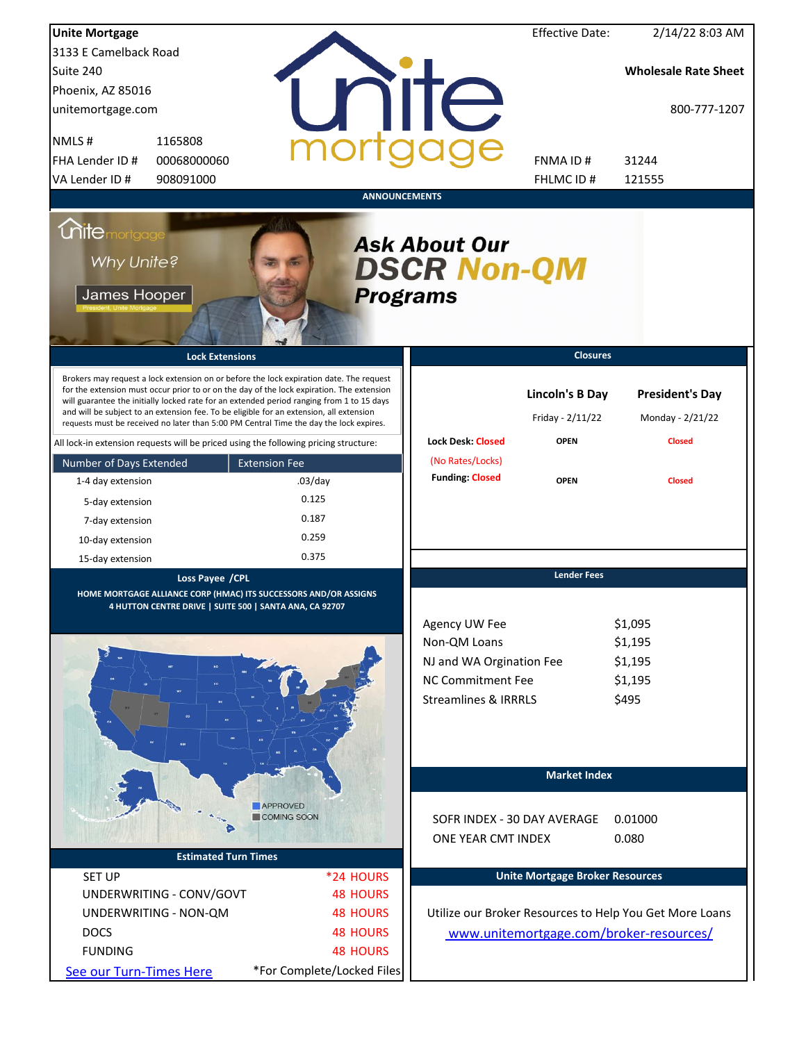| <b>Unite Mortgage</b>                                                                                                                                                                                                                                                                                                                                                                                                                                                  |                                       |                                                                                | <b>Effective Date:</b>                     | 2/14/22 8:03 AM                                         |
|------------------------------------------------------------------------------------------------------------------------------------------------------------------------------------------------------------------------------------------------------------------------------------------------------------------------------------------------------------------------------------------------------------------------------------------------------------------------|---------------------------------------|--------------------------------------------------------------------------------|--------------------------------------------|---------------------------------------------------------|
| 3133 E Camelback Road                                                                                                                                                                                                                                                                                                                                                                                                                                                  |                                       |                                                                                |                                            |                                                         |
| Suite 240                                                                                                                                                                                                                                                                                                                                                                                                                                                              |                                       |                                                                                |                                            | <b>Wholesale Rate Sheet</b>                             |
| Phoenix, AZ 85016                                                                                                                                                                                                                                                                                                                                                                                                                                                      |                                       |                                                                                |                                            |                                                         |
| unitemortgage.com                                                                                                                                                                                                                                                                                                                                                                                                                                                      |                                       | <b>TITE</b>                                                                    |                                            | 800-777-1207                                            |
| NMLS#<br>1165808                                                                                                                                                                                                                                                                                                                                                                                                                                                       |                                       |                                                                                |                                            |                                                         |
| 00068000060<br>FHA Lender ID #                                                                                                                                                                                                                                                                                                                                                                                                                                         |                                       |                                                                                | FNMA ID#                                   | 31244                                                   |
| VA Lender ID #<br>908091000                                                                                                                                                                                                                                                                                                                                                                                                                                            |                                       |                                                                                | FHLMC ID#                                  | 121555                                                  |
|                                                                                                                                                                                                                                                                                                                                                                                                                                                                        | <b>ANNOUNCEMENTS</b>                  |                                                                                |                                            |                                                         |
| <i><u><b>Chitemortgage</b></u></i><br>Why Unite?<br>James Hooper                                                                                                                                                                                                                                                                                                                                                                                                       | <b>Programs</b>                       | <b>Ask About Our</b><br><b>DSCR Non-QM</b>                                     |                                            |                                                         |
| <b>Lock Extensions</b>                                                                                                                                                                                                                                                                                                                                                                                                                                                 |                                       |                                                                                | <b>Closures</b>                            |                                                         |
| Brokers may request a lock extension on or before the lock expiration date. The request<br>for the extension must occur prior to or on the day of the lock expiration. The extension<br>will guarantee the initially locked rate for an extended period ranging from 1 to 15 days<br>and will be subject to an extension fee. To be eligible for an extension, all extension<br>requests must be received no later than 5:00 PM Central Time the day the lock expires. |                                       |                                                                                | <b>Lincoln's B Day</b><br>Friday - 2/11/22 | <b>President's Day</b><br>Monday - 2/21/22              |
| All lock-in extension requests will be priced using the following pricing structure:                                                                                                                                                                                                                                                                                                                                                                                   |                                       | <b>Lock Desk: Closed</b>                                                       | <b>OPEN</b>                                | <b>Closed</b>                                           |
| Number of Days Extended                                                                                                                                                                                                                                                                                                                                                                                                                                                | <b>Extension Fee</b>                  | (No Rates/Locks)                                                               |                                            |                                                         |
| 1-4 day extension                                                                                                                                                                                                                                                                                                                                                                                                                                                      | $.03$ /day                            | <b>Funding: Closed</b>                                                         | <b>OPEN</b>                                | <b>Closed</b>                                           |
| 5-day extension                                                                                                                                                                                                                                                                                                                                                                                                                                                        | 0.125                                 |                                                                                |                                            |                                                         |
| 7-day extension                                                                                                                                                                                                                                                                                                                                                                                                                                                        | 0.187                                 |                                                                                |                                            |                                                         |
| 10-day extension                                                                                                                                                                                                                                                                                                                                                                                                                                                       | 0.259                                 |                                                                                |                                            |                                                         |
| 15-day extension                                                                                                                                                                                                                                                                                                                                                                                                                                                       | 0.375                                 |                                                                                |                                            |                                                         |
| Loss Payee / CPL<br>HOME MORTGAGE ALLIANCE CORP (HMAC) ITS SUCCESSORS AND/OR ASSIGNS<br>4 HUTTON CENTRE DRIVE   SUITE 500   SANTA ANA, CA 92707                                                                                                                                                                                                                                                                                                                        |                                       | Agency UW Fee<br>Non-QM Loans<br>NJ and WA Orgination Fee<br>NC Commitment Fee | <b>Lender Fees</b>                         | \$1,095<br>\$1,195<br>\$1,195<br>\$1,195                |
|                                                                                                                                                                                                                                                                                                                                                                                                                                                                        | <b>APPROVED</b><br><b>COMING SOON</b> | <b>Streamlines &amp; IRRRLS</b><br>SOFR INDEX - 30 DAY AVERAGE                 | <b>Market Index</b>                        | \$495<br>0.01000                                        |
|                                                                                                                                                                                                                                                                                                                                                                                                                                                                        |                                       | ONE YEAR CMT INDEX                                                             |                                            | 0.080                                                   |
| <b>Estimated Turn Times</b>                                                                                                                                                                                                                                                                                                                                                                                                                                            |                                       |                                                                                |                                            |                                                         |
| <b>SET UP</b>                                                                                                                                                                                                                                                                                                                                                                                                                                                          | *24 HOURS                             |                                                                                | <b>Unite Mortgage Broker Resources</b>     |                                                         |
| UNDERWRITING - CONV/GOVT                                                                                                                                                                                                                                                                                                                                                                                                                                               | <b>48 HOURS</b>                       |                                                                                |                                            |                                                         |
| UNDERWRITING - NON-QM                                                                                                                                                                                                                                                                                                                                                                                                                                                  | <b>48 HOURS</b>                       |                                                                                |                                            | Utilize our Broker Resources to Help You Get More Loans |
| <b>DOCS</b>                                                                                                                                                                                                                                                                                                                                                                                                                                                            | <b>48 HOURS</b>                       |                                                                                |                                            | www.unitemortgage.com/broker-resources/                 |
| <b>FUNDING</b>                                                                                                                                                                                                                                                                                                                                                                                                                                                         | <b>48 HOURS</b>                       |                                                                                |                                            |                                                         |
| See our Turn-Times Here                                                                                                                                                                                                                                                                                                                                                                                                                                                | *For Complete/Locked Files            |                                                                                |                                            |                                                         |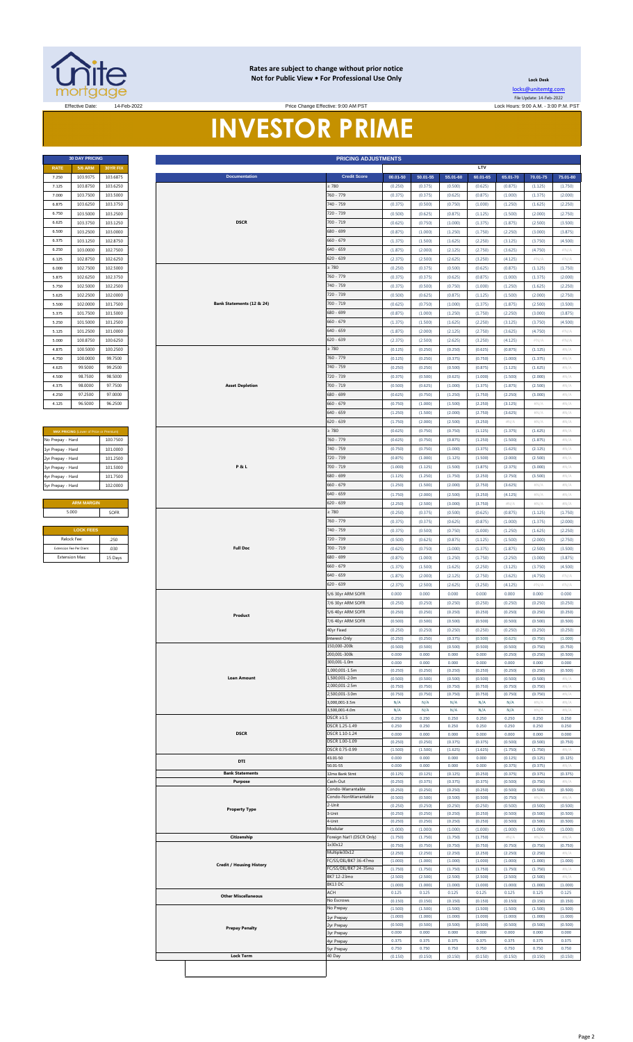

#### **Rates are subject to change without prior notice Not for Public View • For Professional Use Only**

Price Change Effective: 9:00 AM PST

**Lock Desk**

[locks@unitemtg](mailto:locks@unitemtg.com).com File Update: 14-Feb-2022 Effective Date: 14-Feb-2022 Lock Hours: 9:00 A.M. - 3:00 P.M. PST

# **INVESTOR PRIME**

|                           |          | <b>30 DAY PRICING</b> |             |
|---------------------------|----------|-----------------------|-------------|
|                           | 30YR FIX | <b>5/6 ARM</b>        | <b>RATE</b> |
| <b>Documentation</b>      | 103.6875 | 103.9375              | 7.250       |
|                           | 103.6250 | 103.8750              | 7.125       |
|                           | 103.5000 | 103,7500              | 7.000       |
|                           | 103.3750 | 103.6250              | 6.875       |
|                           | 103.2500 | 103,5000              | 6.750       |
| <b>DSCR</b>               | 103.1250 | 103.3750              | 6.625       |
|                           | 103.0000 | 103.2500              | 6,500       |
|                           | 102.8750 | 103.1250              | 6.375       |
|                           | 102.7500 | 103,0000              | 6.250       |
|                           | 102.6250 | 102.8750              | 6.125       |
|                           | 102.5000 | 102.7500              | 6.000       |
|                           | 102.3750 | 102.6250              | 5.875       |
|                           | 102.2500 | 102,5000              | 5.750       |
|                           | 102.0000 | 102.2500              | 5.625       |
| Bank Statements (12 & 24) | 101.7500 | 102.0000              | 5.500       |
|                           | 101.5000 | 101.7500              | 5.375       |
|                           | 101.2500 | 101.5000              | 5.250       |
|                           | 101.0000 | 101.2500              | 5.125       |
|                           | 100.6250 | 100.8750              | 5.000       |
|                           | 100.2500 | 100.5000              | 4.875       |
|                           | 99.7500  | 100,0000              | 4.750       |
|                           | 99.2500  | 99.5000               | 4.625       |
|                           | 98.5000  | 98.7500               | 4.500       |
| <b>Asset Depletion</b>    | 97.7500  | 98,0000               | 4.375       |
|                           | 97.0000  | 97.2500               | 4.250       |
|                           | 96.2500  | 96.5000               | 4.125       |
|                           |          |                       |             |

| <b>MAX PRICING (Lower of Price or Premium)</b> |          |
|------------------------------------------------|----------|
| No Prepay - Hard                               | 100.7500 |
| 1yr Prepay - Hard                              | 101.0000 |
| 2yr Prepay - Hard                              | 101 2500 |
| 3yr Prepay - Hard                              | 101.5000 |
| 4yr Prepay - Hard                              | 101 7500 |
| 5yr Prepay - Hard                              | 102.0000 |
|                                                |          |
| <b>ARM MARGIN</b>                              |          |
| 5.000                                          | SOFR     |
|                                                |          |
| <b>LOCK FEES</b>                               |          |
| Relock Fee:                                    | .250     |
| Extension Fee Per Diem:                        | 030      |
| <b>Extension Max:</b>                          | 15 Days  |

|                       | <b>5/6 ARM</b>                         | 30YR FIX |  |                                 |                                 | LTV                |                    |                    |                    |                    |                           |                    |  |
|-----------------------|----------------------------------------|----------|--|---------------------------------|---------------------------------|--------------------|--------------------|--------------------|--------------------|--------------------|---------------------------|--------------------|--|
| 7.250                 | 103.9375                               | 103.6875 |  | <b>Documentation</b>            | <b>Credit Score</b>             | $00.01 - 50$       | 50.01-55           | 55.01-60           | 60.01-65           | 65.01-70           | 70.01-75                  | 75.01-80           |  |
| 7.125                 | 103.8750                               | 103.6250 |  |                                 | > 780                           | (0.250)            | (0.375)            | (0.500)            | (0.625)            | (0.875)            | (1.125)                   | (1.750)            |  |
| 7.000                 | 103.7500                               | 103.5000 |  |                                 | 760 - 779                       | (0.375)            | (0.375)            | (0.625)            | (0.875)            | (1.000)            | (1.375)                   | (2.000)            |  |
| 6.875                 | 103.6250                               | 103.3750 |  |                                 | 740 - 759                       | (0.375)            | (0.500)            | (0.750)            | (1.000)            | (1.250)            | (1.625)                   | (2.250)            |  |
| 6.750                 | 103.5000                               | 103.2500 |  |                                 | 720 - 739                       | (0.500)            | (0.625)            | (0.875)            | (1.125)            | (1.500)            | (2.000)                   | (2.750)            |  |
| 6.625                 | 103.3750                               | 103.1250 |  | <b>DSCR</b>                     | 700 - 719                       | (0.625)            | (0.750)            | (1.000)            | (1.375)            | (1.875)            | (2.500)                   | (3.500)            |  |
| 6.500                 | 103.2500                               | 103.0000 |  |                                 | 680 - 699                       | (0.875)            | (1.000)            | (1.250)            | (1.750)            | (2.250)            | (3.000)                   | (3.875)            |  |
| 6.375                 | 103.1250                               | 102.8750 |  |                                 | $660 - 679$                     | (1.375)            | (1.500)            | (1.625)            | (2.250)            | (3.125)            | (3.750)                   | (4.500)            |  |
| 6.250                 | 103.0000                               | 102.7500 |  |                                 | $640 - 659$                     | (1.875)            | (2.000)            | (2.125)            | (2.750)            | (3.625)            | (4.750)                   | $\#N/A$            |  |
| 6.125                 | 102.8750                               | 102.6250 |  |                                 | $620 - 639$                     | (2.375)            | (2.500)            | (2.625)            | (3.250)            | (4.125)            | $\#\mathbb{N}/\mathbb{A}$ | $\#N/A$            |  |
| 6.000                 | 102.7500                               | 102.5000 |  |                                 | : 780                           | (0.250)            | (0.375)            | (0.500)            | (0.625)            | (0.875)            | (1.125)                   | (1.750)            |  |
| 5.875                 | 102.6250                               | 102.3750 |  |                                 | 760 - 779                       | (0.375)            | (0.375)            | (0.625)            | (0.875)            | (1.000)            | (1.375)                   | (2.000)            |  |
| 5.750                 | 102.5000                               | 102.2500 |  |                                 | 740 - 759                       | (0.375)            | (0.500)            | (0.750)            | (1.000)            | (1.250)            | (1.625)                   | (2.250)            |  |
| 5.625                 | 102.2500                               | 102.0000 |  |                                 | 720 - 739                       | (0.500)            | (0.625)            | (0.875)            | (1.125)            | (1.500)            | (2.000)                   | (2.750)            |  |
| 5.500                 | 102.0000                               | 101.7500 |  | Bank Statements (12 & 24)       | 700 - 719                       | (0.625)            | (0.750)            | (1.000)            | (1.375)            | (1.875)            | (2.500)                   | (3.500)            |  |
| 5.375                 | 101.7500                               | 101.5000 |  |                                 | 680 - 699                       | (0.875)            | (1.000)            | (1.250)            | (1.750)            | (2.250)            | (3.000)                   | (3.875)            |  |
| 5.250                 | 101.5000                               | 101.2500 |  |                                 | $660 - 679$                     | (1.375)            | (1.500)            | (1.625)            | (2.250)            | (3.125)            | (3.750)                   | (4.500)            |  |
| 5.125                 | 101.2500                               | 101.0000 |  |                                 | 640 - 659                       | (1.875)            | (2.000)            | (2.125)            | (2.750)            | (3.625)            | (4.750)                   | $\#N/A$            |  |
| 5.000                 | 100.8750                               | 100.6250 |  |                                 | $620 - 639$                     | (2.375)            | (2.500)            | (2.625)            | (3.250)            | (4.125)            | $\#N/A$                   | $\#N/A$            |  |
| 4.875                 | 100.5000                               | 100.2500 |  |                                 | : 780                           | (0.125)            | (0.250)            | (0.250)            | (0.625)            | (0.875)            | (1.125)                   | $\#N/A$            |  |
| 4.750                 | 100.0000                               | 99.7500  |  |                                 | 760 - 779                       | (0.125)            | (0.250)            | (0.375)            | (0.750)            | (1.000)            | (1.375)                   | $\#N/A$            |  |
| 4.625                 | 99.5000                                | 99.2500  |  |                                 | 740 - 759                       | (0.250)            | (0.250)            | (0.500)            | (0.875)            | (1.125)            | (1.625)                   | #N/A               |  |
| 4.500                 | 98.7500                                | 98.5000  |  |                                 | 720 - 739                       | (0.375)            | (0.500)            | (0.625)            | (1.000)            | (1.500)            | (2.000)                   | #N/A               |  |
| 4.375                 | 98.0000                                | 97.7500  |  | <b>Asset Depletion</b>          | 700 - 719                       | (0.500)            | (0.625)            | (1.000)            | (1.375)            | (1.875)            | (2.500)                   | #N/A               |  |
| 4.250                 | 97.2500                                | 97.0000  |  |                                 | 680 - 699                       | (0.625)            | (0.750)            | (1.250)            | (1.750)            | (2.250)            | (3.000)                   | #N/A               |  |
| 4.125                 | 96.5000                                | 96.2500  |  |                                 | $660 - 679$                     | (0.750)            | (1.000)            | (1.500)            | (2.250)            | (3.125)            | #N/A                      | #N/A               |  |
|                       |                                        |          |  |                                 | $640 - 659$                     | (1.250)            | (1.500)            | (2.000)            | (2.750)            | (3.625)            | #N/A                      | #N/A               |  |
|                       |                                        |          |  |                                 | 620 - 639                       | (1.750)            | (2.000)            | (2.500)            | (3.250)            | #N/A               | #N/A                      | #N/A               |  |
|                       | MAX PRICING (Lower of Price or Premium |          |  |                                 | > 780                           | (0.625)            | (0.750)            | (0.750)            | (1.125)            | (1.375)            | (1.625)                   | $\#N/A$            |  |
| No Prepay - Hard      |                                        | 100.7500 |  |                                 | 760 - 779                       | (0.625)            | (0.750)            | (0.875)            | (1.250)            | (1.500)            | (1.875)                   | $\#N/A$            |  |
| 1yr Prepay - Hard     |                                        | 101.0000 |  |                                 | 740 - 759                       | (0.750)            | (0.750)            | (1.000)            | (1.375)            | (1.625)            | (2.125)                   | #N/A               |  |
| 2yr Prepay - Hard     |                                        | 101.2500 |  |                                 | 720 - 739                       | (0.875)            | (1.000)            | (1.125)            | (1.500)            | (2.000)            | (2.500)                   | $\#N/A$            |  |
| 3yr Prepay - Hard     |                                        | 101.5000 |  | <b>P&amp;L</b>                  | 700 - 719                       | (1.000)            | (1.125)            | (1.500)            | (1.875)            | (2.375)            | (3.000)                   | $\#N/F$            |  |
| 4yr Prepay - Hard     |                                        | 101.7500 |  |                                 | 680 - 699                       | (1.125)            | (1.250)            | (1.750)            | (2.250)            | (2.750)            | (3.500)                   | $\#N/A$            |  |
| Syr Prepay - Hard     |                                        | 102.0000 |  |                                 | $660 - 679$                     | (1.250)            | (1.500)            | (2.000)            | (2.750)            | (3.625)            | #N/A                      | #N/A               |  |
|                       |                                        |          |  |                                 | 640 - 659                       | (1.750)            | (2.000)            | (2.500)            | (3.250)            | (4.125)            | #N/A                      | #N/A               |  |
|                       | <b>ARM MARGIN</b>                      |          |  |                                 | 620 - 639                       | (2.250)            | (2.500)            | (3.000)            | (3.750)            | #N/A               | #N/A                      | #N/A               |  |
| 5.000                 |                                        | SOFR     |  |                                 | : 780                           | (0.250)            | (0.375)            | (0.500)            | (0.625)            | (0.875)            | (1.125)                   | (1.750)            |  |
|                       |                                        |          |  |                                 | 760 - 779                       | (0.375)            | (0.375)            | (0.625)            | (0.875)            | (1.000)            | (1.375)                   | (2.000)            |  |
|                       | <b>LOCK FEES</b>                       |          |  |                                 | 740 - 759                       | (0.375)            | (0.500)            | (0.750)            | (1.000)            | (1.250)            | (1.625)                   | (2.250)            |  |
| Relock Fee:           |                                        | .250     |  |                                 | 720 - 739                       | (0.500)            | (0.625)            | (0.875)            | (1.125)            | (1.500)            | (2.000)                   | (2.750)            |  |
|                       | Extension Fee Per Diem:<br>.030        |          |  | <b>Full Doc</b>                 | 700 - 719                       | (0.625)            | (0.750)            | (1.000)            | (1.375)            | (1.875)            | (2.500)                   | (3.500)            |  |
| <b>Extension Max:</b> |                                        | 15 Days  |  |                                 | 680 - 699                       | (0.875)            | (1.000)            | (1.250)            | (1.750)            | (2.250)            | (3.000)                   | (3.875)            |  |
|                       |                                        |          |  |                                 | $660 - 679$                     | (1.375)            | (1.500)            | (1.625)            | (2.250)            | (3.125)            | (3.750)                   | (4.500)            |  |
|                       |                                        |          |  |                                 | 640 - 659                       | (1.875)            | (2.000)            | (2.125)            | (2.750)            | (3.625)            | (4.750)                   | $\#N/A$            |  |
|                       |                                        |          |  |                                 | 620 - 639                       | (2.375)            | (2.500)            | (2.625)            | (3.250)            | (4.125)            | $\#N/A$                   | $\#N/A$            |  |
|                       |                                        |          |  |                                 | 5/6 30yr ARM SOFR               | 0.000              | 0.000              | 0.000              | 0.000              | 0.000              | 0.000                     | 0.000              |  |
|                       |                                        |          |  |                                 | 7/6 30yr ARM SOFR               | (0.250)            | (0.250)            | (0.250)            | (0.250)            | (0.250)            | (0.250)                   | (0.250)            |  |
|                       |                                        |          |  | Product                         | 5/6 40yr ARM SOFR               | (0.250)            | (0.250)            | (0.250)            | (0.250)            | (0.250)            | (0.250)                   | (0.250)            |  |
|                       |                                        |          |  |                                 | 7/6 40yr ARM SOFR               | (0.500)            | (0.500)            | (0.500)            | (0.500)            | (0.500)            | (0.500)                   | (0.500)            |  |
|                       |                                        |          |  |                                 | 40yr Fixed                      | (0.250)            | (0.250)            | (0.250)            | (0.250)            | (0.250)            | (0.250)                   | (0.250)            |  |
|                       |                                        |          |  |                                 | Interest-Only<br>150,000-200k   | (0.250)            | (0.250)            | (0.375)            | (0.500)            | (0.625)            | (0.750)                   | (1.000)            |  |
|                       |                                        |          |  |                                 | 200,001-300k                    | (0.500)<br>0.000   | (0.500)<br>0.000   | (0.500)<br>0.000   | (0.500)<br>0.000   | (0.500)<br>(0.250) | (0.750)<br>(0.250)        | (0.750)<br>(0.500) |  |
|                       |                                        |          |  |                                 | 300,001-1.0m                    | 0.000              | 0.000              | 0.000              | 0.000              | 0.000              | 0.000                     | 0.000              |  |
|                       |                                        |          |  |                                 | 1,000,001-1.5m                  | (0.250)            | (0.250)            | (0.250)            | (0.250)            | (0.250)            | (0.250)                   | (0.500)            |  |
|                       |                                        |          |  | <b>Loan Amount</b>              | 1,500,001-2.0m                  | (0.500)            | (0.500)            | (0.500)            | (0.500)            | (0.500)            | (0.500)                   | #N//               |  |
|                       |                                        |          |  |                                 | 2,000,001-2.5m                  | (0.750)            | (0.750)            | (0.750)            | (0.750)            | (0.750)            | (0.750)                   | #N/A               |  |
|                       |                                        |          |  |                                 | 2,500,001-3.0m                  | (0.750)            | (0.750)            | (0.750)            | (0.750)            | (0.750)            | (0.750)                   | #N/A               |  |
|                       |                                        |          |  |                                 | ,000,001-3.5m<br>3,500,001-4.0m | N/A<br>N/A         | N/A<br>N/A         | N/A<br>N/A         | N/A<br>N/A         | N/A<br>N/A         | #N/A<br>#N//              | #N//<br>$\#N/I$    |  |
|                       |                                        |          |  |                                 | $DSCR \geq 1.5$                 | 0.250              | 0.250              | 0.250              | 0.250              | 0.250              | 0.250                     | 0.250              |  |
|                       |                                        |          |  |                                 | DSCR 1.25-1.49                  | 0.250              | 0.250              | 0.250              | 0.250              | 0.250              | 0.250                     | 0.250              |  |
|                       |                                        |          |  | <b>DSCR</b>                     | DSCR 1.10-1.24                  | 0.000              | 0.000              | 0.000              | 0.000              | 0.000              | 0.000                     | 0.000              |  |
|                       |                                        |          |  |                                 | DSCR 1.00-1.09                  | (0.250)            | (0.250)            | (0.375)            | (0.375)            | (0.500)            | (0.500)                   | (0.750)            |  |
|                       |                                        |          |  |                                 | DSCR 0.75-0.99                  | (1.500)            | (1.500)            | (1.625)            | (1.625)            | (1.750)            | (1.750)                   | $\#N$              |  |
|                       |                                        |          |  | <b>DTI</b>                      | 43.01-50                        | 0.000              | 0.000              | 0.000              | 0.000              | (0.125)            | (0.125)                   | (0.125)<br>$\#N$ / |  |
|                       |                                        |          |  | <b>Bank Statements</b>          | 50.01-55<br>12mo Bank Stmt      | 0.000<br>(0.125)   | 0.000<br>(0.125)   | 0.000<br>(0.125)   | 0.000<br>(0.250)   | (0.375)<br>(0.375) | (0.375)<br>(0.375)        | (0.375)            |  |
|                       |                                        |          |  | Purpose                         | Cash-Out                        | (0.250)            | (0.375)            | (0.375)            | (0.375)            | (0.500)            | (0.750)                   |                    |  |
|                       |                                        |          |  |                                 | Condo-Warrantable               | (0.250)            | (0.250)            | (0.250)            | (0.250)            | (0.500)            | (0.500)                   | (0.500)            |  |
|                       |                                        |          |  |                                 | Condo-NonWarrantable            | (0.500)            | (0.500)            | (0.500)            | (0.500)            | (0.750)            | #N/A                      | #N/A               |  |
|                       |                                        |          |  | <b>Property Type</b>            | 2-Unit                          | (0.250)            | (0.250)            | (0.250)            | (0.250)            | (0.500)            | (0.500)                   | (0.500)            |  |
|                       |                                        |          |  |                                 | 3-Unit<br>4-Unit                | (0.250)<br>(0.250) | (0.250)<br>(0.250) | (0.250)            | (0.250)            | (0.500)            | (0.500)                   | (0.500)            |  |
|                       |                                        |          |  |                                 | Modular                         | (1.000)            | (1.000)            | (0.250)<br>(1.000) | (0.250)<br>(1.000) | (0.500)<br>(1.000) | (0.500)<br>(1.000)        | (0.500)<br>(1.000) |  |
|                       |                                        |          |  |                                 | Foreign Nat'l (DSCR Only)       | (1.750)            | (1.750)            | (1.750)            | (1.750)            | $\#N$ /            | #N/                       | $\#N$ /            |  |
|                       |                                        |          |  | Citizenship                     |                                 |                    |                    |                    | (0.750)            | (0.750)            |                           | (0.750)            |  |
|                       |                                        |          |  |                                 | 1x30x12                         | (0.750)            | (0.750)            | (0.750)            |                    |                    | (0.750)                   |                    |  |
|                       |                                        |          |  |                                 | Multiple30x12                   | (2.250)            | (2.250)            | (2.250)            | (2.250)            | (2.250)            | (2.250)                   | #N/                |  |
|                       |                                        |          |  | <b>Credit / Housing History</b> | FC/SS/DIL/BK7 36-47mo           | (1.000)            | (1.000)            | (1.000)            | (1.000)            | (1.000)            | (1.000)                   | (1.000)            |  |
|                       |                                        |          |  |                                 | FC/SS/DIL/BK7 24-35mo           | (1.750)            | (1.750)            | (1.750)            | (1.750)            | (1.750)            | (1.750)                   | #N/A               |  |
|                       |                                        |          |  |                                 | BK7 12-23mo                     | (2.500)            | (2.500)            | (2.500)            | (2.500)            | (2.500)            | (2.500)                   | #N//               |  |
|                       |                                        |          |  |                                 | BK13 DC                         | (1.000)            | (1.000)            | (1.000)            | (1.000)            | (1.000)            | (1.000)                   | (1.000)            |  |
|                       |                                        |          |  | <b>Other Miscellaneous</b>      | ACH<br>No Escrows               | 0.125              | 0.125              | 0.125              | 0.125              | 0.125              | 0.125<br>(0.150)          | 0.125<br>(0.150)   |  |
|                       |                                        |          |  |                                 | No Prepay                       | (0.150)<br>(1.500) | (0.150)<br>(1.500) | (0.150)<br>(1.500) | (0.150)<br>(1.500) | (0.150)<br>(1.500) | (1.500)                   | (1.500)            |  |
|                       |                                        |          |  |                                 | yr Prepay                       | (1.000)            | (1.000)            | (1.000)            | (1.000)            | (1.000)            | (1.000)                   | (1.000)            |  |
|                       |                                        |          |  |                                 | yr Prepay                       | (0.500)            | (0.500)            | (0.500)            | (0.500)            | (0.500)            | (0.500)                   | (0.500)            |  |
|                       |                                        |          |  | <b>Prepay Penalty</b>           | yr Prepay                       | 0.000              | 0.000              | 0.000              | 0.000              | 0.000              | 0.000                     | 0.000              |  |
|                       |                                        |          |  |                                 | yr Prepay                       | 0.375              | 0.375              | 0.375              | 0.375              | 0.375              | 0.375                     | 0.375              |  |
|                       |                                        |          |  | <b>Lock Term</b>                | yr Prepay<br>40 Day             | 0.750<br>(0.150)   | 0.750<br>(0.150)   | 0.750<br>(0.150)   | 0.750<br>(0.150)   | 0.750<br>(0.150)   | 0.750<br>(0.150)          | 0.750<br>(0.150)   |  |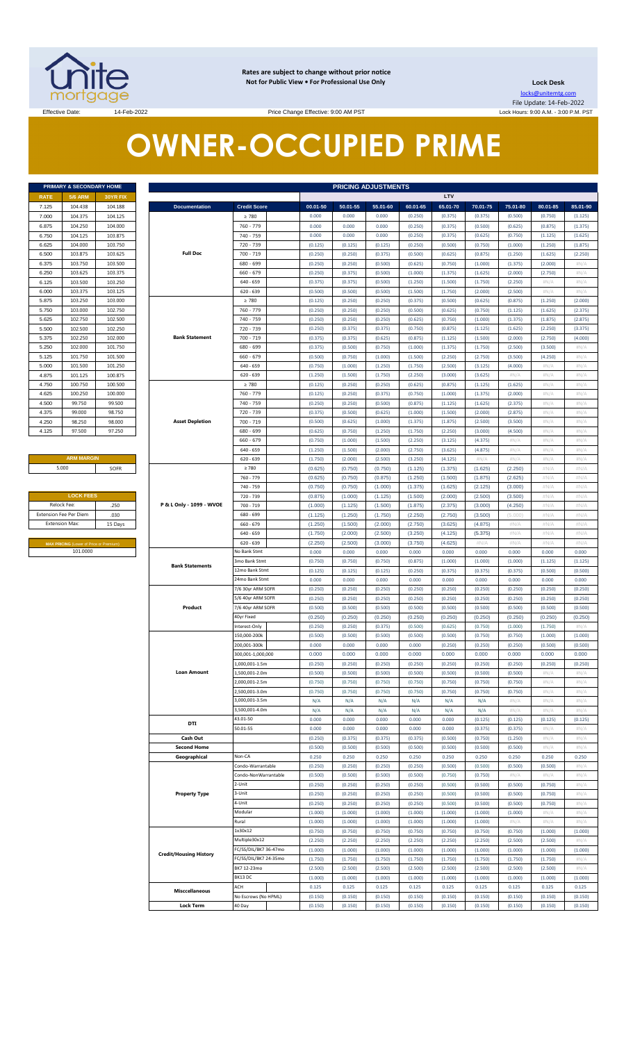

**Rates are subject to change without prior notice Not for Public View • For Professional Use Only** 

**Lock Desk** locks@unitemtg.com File Update: 14-Feb-2022 Lock Hours: 9:00 A.M. - 3:00 P.M. PST

Effective Date: 14-Feb-2022 14-Feb-2022 Price Change Effective: 9:00 AM PST

# **OWNER-OCCUPIED PRIME**

| PRIMARY & SECONDARY HOME |                |                 |  |  |  |  |  |  |  |  |  |
|--------------------------|----------------|-----------------|--|--|--|--|--|--|--|--|--|
| <b>RATE</b>              | <b>5/6 ARM</b> | <b>30YR FIX</b> |  |  |  |  |  |  |  |  |  |
| 7.125                    | 104 438        | 104.188         |  |  |  |  |  |  |  |  |  |
| 7.000                    | 104.375        | 104.125         |  |  |  |  |  |  |  |  |  |
| 6.875                    | 104.250        | 104.000         |  |  |  |  |  |  |  |  |  |
| 6.750                    | 104.125        | 103.875         |  |  |  |  |  |  |  |  |  |
| 6.625                    | 104.000        | 103.750         |  |  |  |  |  |  |  |  |  |
| 6.500                    | 103.875        | 103.625         |  |  |  |  |  |  |  |  |  |
| 6.375                    | 103.750        | 103.500         |  |  |  |  |  |  |  |  |  |
| 6.250                    | 103.625        | 103.375         |  |  |  |  |  |  |  |  |  |
| 6.125                    | 103.500        | 103.250         |  |  |  |  |  |  |  |  |  |
| 6.000                    | 103.375        | 103.125         |  |  |  |  |  |  |  |  |  |
| 5.875                    | 103.250        | 103,000         |  |  |  |  |  |  |  |  |  |
| 5.750                    | 103,000        | 102.750         |  |  |  |  |  |  |  |  |  |
| 5.625                    | 102.750        | 102.500         |  |  |  |  |  |  |  |  |  |
| 5.500                    | 102.500        | 102.250         |  |  |  |  |  |  |  |  |  |
| 5.375                    | 102.250        | 102.000         |  |  |  |  |  |  |  |  |  |
| 5.250                    | 102,000        | 101.750         |  |  |  |  |  |  |  |  |  |
| 5.125                    | 101.750        | 101.500         |  |  |  |  |  |  |  |  |  |
| 5.000                    | 101.500        | 101.250         |  |  |  |  |  |  |  |  |  |
| 4.875                    | 101.125        | 100.875         |  |  |  |  |  |  |  |  |  |
| 4.750                    | 100.750        | 100.500         |  |  |  |  |  |  |  |  |  |
| 4.625                    | 100.250        | 100,000         |  |  |  |  |  |  |  |  |  |
| 4.500                    | 99.750         | 99.500          |  |  |  |  |  |  |  |  |  |
| 4.375                    | 99.000         | 98.750          |  |  |  |  |  |  |  |  |  |
| 4.250                    | 98.250         | 98.000          |  |  |  |  |  |  |  |  |  |
| 4.125                    | 97.500         | 97.250          |  |  |  |  |  |  |  |  |  |

#### **ARM MARGIN** 5.000

| <b>LOCK FEES</b>              |         |
|-------------------------------|---------|
| Relock Fee:                   | .250    |
| <b>Extension Fee Per Diem</b> | .030    |
| <b>Extension Max:</b>         | 15 Days |

|       | PRIMARY & SECONDARY HOME                |          |                               |                       |          | <b>PRICING ADJUSTMENTS</b> |          |          |          |          |          |          |          |
|-------|-----------------------------------------|----------|-------------------------------|-----------------------|----------|----------------------------|----------|----------|----------|----------|----------|----------|----------|
| RATE  | <b>5/6 ARM</b>                          | 30YR FIX |                               |                       |          |                            |          |          | LTV      |          |          |          |          |
| 7.125 | 104.438                                 | 104.188  | <b>Documentation</b>          | <b>Credit Score</b>   | 00.01-50 | 50.01-55                   | 55.01-60 | 60.01-65 | 65.01-70 | 70.01-75 | 75.01-80 | 80.01-85 | 85.01-90 |
| 7.000 | 104.375                                 | 104.125  |                               | $\geq 780$            | 0.000    | 0.000                      | 0.000    | (0.250)  | (0.375)  | (0.375)  | (0.500)  | (0.750)  | (1.125)  |
| 6.875 | 104.250                                 | 104.000  |                               | 760 - 779             | 0.000    | 0.000                      | 0.000    | (0.250)  | (0.375)  | (0.500)  | (0.625)  | (0.875)  | (1.375)  |
| 6.750 | 104.125                                 | 103.875  |                               | 740 - 759             | 0.000    | 0.000                      | 0.000    | (0.250)  | (0.375)  | (0.625)  | (0.750)  | (1.125)  | (1.625)  |
|       |                                         |          |                               |                       |          |                            |          |          |          |          |          |          |          |
| 6.625 | 104.000                                 | 103.750  |                               | 720 - 739             | (0.125)  | (0.125)                    | (0.125)  | (0.250)  | (0.500)  | (0.750)  | (1.000)  | (1.250)  | (1.875)  |
| 6.500 | 103.875                                 | 103.625  | <b>Full Doc</b>               | 700 - 719             | (0.250)  | (0.250)                    | (0.375)  | (0.500)  | (0.625)  | (0.875)  | (1.250)  | (1.625)  | (2.250)  |
| 6.375 | 103.750                                 | 103.500  |                               | 680 - 699             | (0.250)  | (0.250)                    | (0.500)  | (0.625)  | (0.750)  | (1.000)  | (1.375)  | (2.000)  | $\#N/A$  |
| 6.250 | 103.625                                 | 103.375  |                               | $660 - 679$           | (0.250)  | (0.375)                    | (0.500)  | (1.000)  | (1.375)  | (1.625)  | (2.000)  | (2.750)  | $\#N/A$  |
| 6.125 | 103.500                                 | 103.250  |                               | $640 - 659$           | (0.375)  | (0.375)                    | (0.500)  | (1.250)  | (1.500)  | (1.750)  | (2.250)  | $\#N/A$  | $\#N/A$  |
| 6.000 | 103.375                                 | 103.125  |                               | $620 - 639$           | (0.500)  | (0.500)                    | (0.500)  | (1.500)  | (1.750)  | (2.000)  | (2.500)  | #N/A     | $\#N/A$  |
| 5.875 | 103.250                                 | 103.000  |                               | $\geq 780$            | (0.125)  | (0.250)                    | (0.250)  | (0.375)  | (0.500)  | (0.625)  | (0.875)  | (1.250)  | (2.000)  |
| 5.750 | 103.000                                 | 102.750  |                               | 760 - 779             | (0.250)  | (0.250)                    | (0.250)  | (0.500)  | (0.625)  | (0.750)  | (1.125)  | (1.625)  | (2.375)  |
| 5.625 | 102.750                                 | 102.500  |                               | 740 - 759             | (0.250)  | (0.250)                    | (0.250)  | (0.625)  | (0.750)  | (1.000)  | (1.375)  | (1.875)  | (2.875)  |
|       | 102.500                                 | 102.250  |                               |                       |          |                            |          |          |          |          |          |          |          |
| 5.500 |                                         |          |                               | 720 - 739             | (0.250)  | (0.375)                    | (0.375)  | (0.750)  | (0.875)  | (1.125)  | (1.625)  | (2.250)  | (3.375)  |
| 5.375 | 102.250                                 | 102.000  | <b>Bank Statement</b>         | 700 - 719             | (0.375)  | (0.375)                    | (0.625)  | (0.875)  | (1.125)  | (1.500)  | (2.000)  | (2.750)  | (4.000)  |
| 5.250 | 102.000                                 | 101.750  |                               | 680 - 699             | (0.375)  | (0.500)                    | (0.750)  | (1.000)  | (1.375)  | (1.750)  | (2.500)  | (3.500)  | #N/A     |
| 5.125 | 101.750                                 | 101.500  |                               | $660 - 679$           | (0.500)  | (0.750)                    | (1.000)  | (1.500)  | (2.250)  | (2.750)  | (3.500)  | (4.250)  | #N/A     |
| 5.000 | 101.500                                 | 101.250  |                               | $640 - 659$           | (0.750)  | (1.000)                    | (1.250)  | (1.750)  | (2.500)  | (3.125)  | (4.000)  | #N/A     | #N/A     |
| 4.875 | 101.125                                 | 100.875  |                               | $620 - 639$           | (1.250)  | (1.500)                    | (1.750)  | (2.250)  | (3.000)  | (3.625)  | H N/A    | $\#N/A$  | #N/A     |
| 4.750 | 100.750                                 | 100.500  |                               | $\geq 780$            | (0.125)  | (0.250)                    | (0.250)  | (0.625)  | (0.875)  | (1.125)  | (1.625)  | #N/A     | $\#N/A$  |
| 4.625 | 100.250                                 | 100.000  |                               | 760 - 779             | (0.125)  | (0.250)                    | (0.375)  | (0.750)  | (1.000)  | (1.375)  | (2.000)  | $\#N/A$  | #N/A     |
| 4.500 | 99.750                                  | 99.500   |                               | 740 - 759             | (0.250)  | (0.250)                    | (0.500)  | (0.875)  | (1.125)  | (1.625)  | (2.375)  | #N/A     | $\#N/A$  |
| 4.375 | 99.000                                  | 98.750   |                               | 720 - 739             | (0.375)  | (0.500)                    | (0.625)  | (1.000)  | (1.500)  | (2.000)  | (2.875)  | #N/A     | #N/A     |
| 4.250 | 98.250                                  | 98.000   | <b>Asset Depletion</b>        | 700 - 719             | (0.500)  | (0.625)                    | (1.000)  | (1.375)  | (1.875)  | (2.500)  | (3.500)  | #N/A     | $\#N/A$  |
|       |                                         |          |                               | 680 - 699             |          |                            |          |          |          |          |          |          |          |
| 4.125 | 97.500                                  | 97.250   |                               |                       | (0.625)  | (0.750)                    | (1.250)  | (1.750)  | (2.250)  | (3.000)  | (4.500)  | #N/A     | #N/A     |
|       |                                         |          |                               | $660 - 679$           | (0.750)  | (1.000)                    | (1.500)  | (2.250)  | (3.125)  | (4.375)  | $\#N/A$  | #N/A     | $\#N/A$  |
|       |                                         |          |                               | $640 - 659$           | (1.250)  | (1.500)                    | (2.000)  | (2.750)  | (3.625)  | (4.875)  | $\#N/A$  | $\#N/A$  | #N/A     |
|       | <b>ARM MARGIN</b>                       |          |                               | $620 - 639$           | (1.750)  | (2.000)                    | (2.500)  | (3.250)  | (4.125)  | $\#N/A$  | $\#N/A$  | #N/A     | $\#N/A$  |
|       | 5.000                                   | SOFR     |                               | $\geq 780$            | (0.625)  | (0.750)                    | (0.750)  | (1.125)  | (1.375)  | (1.625)  | (2.250)  | #N/A     | #N/A     |
|       |                                         |          |                               | 760 - 779             | (0.625)  | (0.750)                    | (0.875)  | (1.250)  | (1.500)  | (1.875)  | (2.625)  | #N/A     | #N/A     |
|       |                                         |          |                               | 740 - 759             | (0.750)  | (0.750)                    | (1.000)  | (1.375)  | (1.625)  | (2.125)  | (3.000)  | #N/A     | #N/A     |
|       | <b>LOCK FEES</b>                        |          |                               | 720 - 739             | (0.875)  | (1.000)                    | (1.125)  | (1.500)  | (2.000)  | (2.500)  | (3.500)  | #N/A     | #N/A     |
|       | Relock Fee:                             | .250     | P & L Only - 1099 - WVOE      | 700 - 719             | (1.000)  | (1.125)                    | (1.500)  | (1.875)  | (2.375)  | (3.000)  | (4.250)  | #N/A     | #N/A     |
|       | xtension Fee Per Diem                   | .030     |                               | 680 - 699             | (1.125)  | (1.250)                    | (1.750)  | (2.250)  | (2.750)  | (3.500)  | (5.000)  | #N/A     | #N/A     |
|       | <b>Extension Max:</b>                   | 15 Days  |                               | $660 - 679$           | (1.250)  | (1.500)                    | (2.000)  | (2.750)  | (3.625)  | (4.875)  | #N/A     | #N/A     | #N/A     |
|       |                                         |          |                               |                       |          | (2.000)                    | (2.500)  |          |          |          | #N/A     | #N/A     | #N/A     |
|       |                                         |          |                               | $640 - 659$           | (1.750)  |                            |          | (3.250)  | (4.125)  | (5.375)  |          |          |          |
|       | MAX PRICING (Lower of Price or Premium) |          |                               | $620 - 639$           | (2.250)  | (2.500)                    | (3.000)  | (3.750)  | (4.625)  | #N/A     | #N/A     | #N/A     | #N/A     |
|       | 101.0000                                |          |                               | No Bank Stmt          | 0.000    | 0.000                      | 0.000    | 0.000    | 0.000    | 0.000    | 0.000    | 0.000    | 0.000    |
|       |                                         |          | <b>Bank Statements</b>        | 3mo Bank Stmt         | (0.750)  | (0.750)                    | (0.750)  | (0.875)  | (1.000)  | (1.000)  | (1.000)  | (1.125)  | (1.125)  |
|       |                                         |          |                               | 12mo Bank Stmt        | (0.125)  | (0.125)                    | (0.125)  | (0.250)  | (0.375)  | (0.375)  | (0.375)  | (0.500)  | (0.500)  |
|       |                                         |          |                               | 24mo Bank Stmt        | 0.000    | 0.000                      | 0.000    | 0.000    | 0.000    | 0.000    | 0.000    | 0.000    | 0.000    |
|       |                                         |          |                               | 7/6 30yr ARM SOFR     | (0.250)  | (0.250)                    | (0.250)  | (0.250)  | (0.250)  | (0.250)  | (0.250)  | (0.250)  | (0.250)  |
|       |                                         |          |                               | 5/6 40yr ARM SOFR     | (0.250)  | (0.250)                    | (0.250)  | (0.250)  | (0.250)  | (0.250)  | (0.250)  | (0.250)  | (0.250)  |
|       |                                         |          | Product                       | 7/6 40yr ARM SOFR     | (0.500)  | (0.500)                    | (0.500)  | (0.500)  | (0.500)  | (0.500)  | (0.500)  | (0.500)  | (0.500)  |
|       |                                         |          |                               | 40yr Fixed            | (0.250)  | (0.250)                    | (0.250)  | (0.250)  | (0.250)  | (0.250)  | (0.250)  | (0.250)  | (0.250)  |
|       |                                         |          |                               | Interest-Only         | (0.250)  | (0.250)                    | (0.375)  | (0.500)  | (0.625)  | (0.750)  | (1.000)  | (1.750)  | #N/A     |
|       |                                         |          |                               | 150,000-200k          | (0.500)  | (0.500)                    | (0.500)  | (0.500)  | (0.500)  | (0.750)  | (0.750)  | (1.000)  | (1.000)  |
|       |                                         |          |                               | 200,001-300k          | 0.000    | 0.000                      | 0.000    | 0.000    | (0.250)  | (0.250)  | (0.250)  | (0.500)  | (0.500)  |
|       |                                         |          |                               |                       | 0.000    | 0.000                      | 0.000    | 0.000    | 0.000    | 0.000    | 0.000    | 0.000    | 0.000    |
|       |                                         |          |                               | 300,001-1,000,000     |          |                            |          |          |          |          |          |          |          |
|       |                                         |          |                               | 1.000.001-1.5m        | (0.250)  | (0.250)                    | (0.250)  | (0.250)  | (0.250)  | (0.250)  | (0.250)  | (0.250)  | (0.250)  |
|       |                                         |          | <b>Loan Amount</b>            | 1,500,001-2.0m        | (0.500)  | (0.500)                    | (0.500)  | (0.500)  | (0.500)  | (0.500)  | (0.500)  | #N/A     | $\#N/A$  |
|       |                                         |          |                               | 2,000,001-2.5m        | (0.750)  | (0.750)                    | (0.750)  | (0.750)  | (0.750)  | (0.750)  | (0.750)  | #N/A     | #N/A     |
|       |                                         |          |                               | 2,500,001-3.0m        | (0.750)  | (0.750)                    | (0.750)  | (0.750)  | (0.750)  | (0.750)  | (0.750)  | #N/A     | $\#N/A$  |
|       |                                         |          |                               | 3,000,001-3.5m        | N/A      | N/A                        | N/A      | N/A      | N/A      | N/A      | H N/A    | #N/A     | #N/A     |
|       |                                         |          |                               | 3,500,001-4.0m        | N/A      | N/A                        | N/A      | N/A      | N/A      | N/A      | $\#N/A$  | #N/A     | $\#N/A$  |
|       |                                         |          |                               | 43.01-50              | 0.000    | 0.000                      | 0.000    | 0.000    | 0.000    | (0.125)  | (0.125)  | (0.125)  | (0.125)  |
|       |                                         |          | DTI                           | 50.01-55              | 0.000    | 0.000                      | 0.000    | 0.000    | 0.000    | (0.375)  | (0.375)  | #N/A     | $\#N/A$  |
|       |                                         |          | Cash Out                      |                       | (0.250)  | (0.375)                    | (0.375)  | (0.375)  | (0.500)  | (0.750)  | (1.250)  | #N/A     | #N/A     |
|       |                                         |          | <b>Second Home</b>            |                       | (0.500)  | (0.500)                    | (0.500)  | (0.500)  | (0.500)  | (0.500)  | (0.500)  | $\#N/A$  | $\#N/A$  |
|       |                                         |          | Geographical                  | Non-CA                | 0.250    | 0.250                      | 0.250    | 0.250    | 0.250    | 0.250    | 0.250    | 0.250    | 0.250    |
|       |                                         |          |                               |                       |          |                            | (0.250)  |          |          |          |          |          |          |
|       |                                         |          |                               | Condo-Warrantable     | (0.250)  | (0.250)                    |          | (0.250)  | (0.500)  | (0.500)  | (0.500)  | (0.500)  | $\#N/A$  |
|       |                                         |          |                               | Condo-NonWarrantable  | (0.500)  | (0.500)                    | (0.500)  | (0.500)  | (0.750)  | (0.750)  | H N/A    | #N/A     | #N/A     |
|       |                                         |          |                               | 2-Unit                | (0.250)  | (0.250)                    | (0.250)  | (0.250)  | (0.500)  | (0.500)  | (0.500)  | (0.750)  | $\#N/A$  |
|       |                                         |          | <b>Property Type</b>          | 3-Unit                | (0.250)  | (0.250)                    | (0.250)  | (0.250)  | (0.500)  | (0.500)  | (0.500)  | (0.750)  | #N/A     |
|       |                                         |          |                               | 4-Unit                | (0.250)  | (0.250)                    | (0.250)  | (0.250)  | (0.500)  | (0.500)  | (0.500)  | (0.750)  | $\#N/A$  |
|       |                                         |          |                               | Modular               | (1.000)  | (1.000)                    | (1.000)  | (1.000)  | (1.000)  | (1.000)  | (1.000)  | #N/A     | #N/A     |
|       |                                         |          |                               | Rural                 | (1.000)  | (1.000)                    | (1.000)  | (1.000)  | (1.000)  | (1.000)  | $\#N/A$  | #N/A     | $\#N/A$  |
|       |                                         |          |                               | 1x30x12               | (0.750)  | (0.750)                    | (0.750)  | (0.750)  | (0.750)  | (0.750)  | (0.750)  | (1.000)  | (1.000)  |
|       |                                         |          |                               | Multiple30x12         | (2.250)  | (2.250)                    | (2.250)  | (2.250)  | (2.250)  | (2.250)  | (2.500)  | (2.500)  | $\#N/A$  |
|       |                                         |          |                               | FC/SS/DIL/BK7 36-47mo | (1.000)  | (1.000)                    | (1.000)  | (1.000)  | (1.000)  | (1.000)  | (1.000)  | (1.000)  | (1.000)  |
|       |                                         |          | <b>Credit/Housing History</b> | FC/SS/DIL/BK7 24-35mo | (1.750)  | (1.750)                    | (1.750)  | (1.750)  | (1.750)  | (1.750)  | (1.750)  | (1.750)  | $\#N/A$  |
|       |                                         |          |                               |                       |          |                            |          |          |          |          |          |          |          |
|       |                                         |          |                               | BK7 12-23mo           | (2.500)  | (2.500)                    | (2.500)  | (2.500)  | (2.500)  | (2.500)  | (2.500)  | (2.500)  | #N/A     |
|       |                                         |          |                               | BK13 DC               | (1.000)  | (1.000)                    | (1.000)  | (1.000)  | (1.000)  | (1.000)  | (1.000)  | (1.000)  | (1.000)  |
|       |                                         |          | <b>Misccellaneous</b>         | ACH                   | 0.125    | 0.125                      | 0.125    | 0.125    | 0.125    | 0.125    | 0.125    | 0.125    | 0.125    |
|       |                                         |          |                               | No Escrows (No HPML)  | (0.150)  | (0.150)                    | (0.150)  | (0.150)  | (0.150)  | (0.150)  | (0.150)  | (0.150)  | (0.150)  |
|       |                                         |          | <b>Lock Term</b>              | 40 Day                | (0.150)  | (0.150)                    | (0.150)  | (0.150)  | (0.150)  | (0.150)  | (0.150)  | (0.150)  | (0.150)  |
|       |                                         |          |                               |                       |          |                            |          |          |          |          |          |          |          |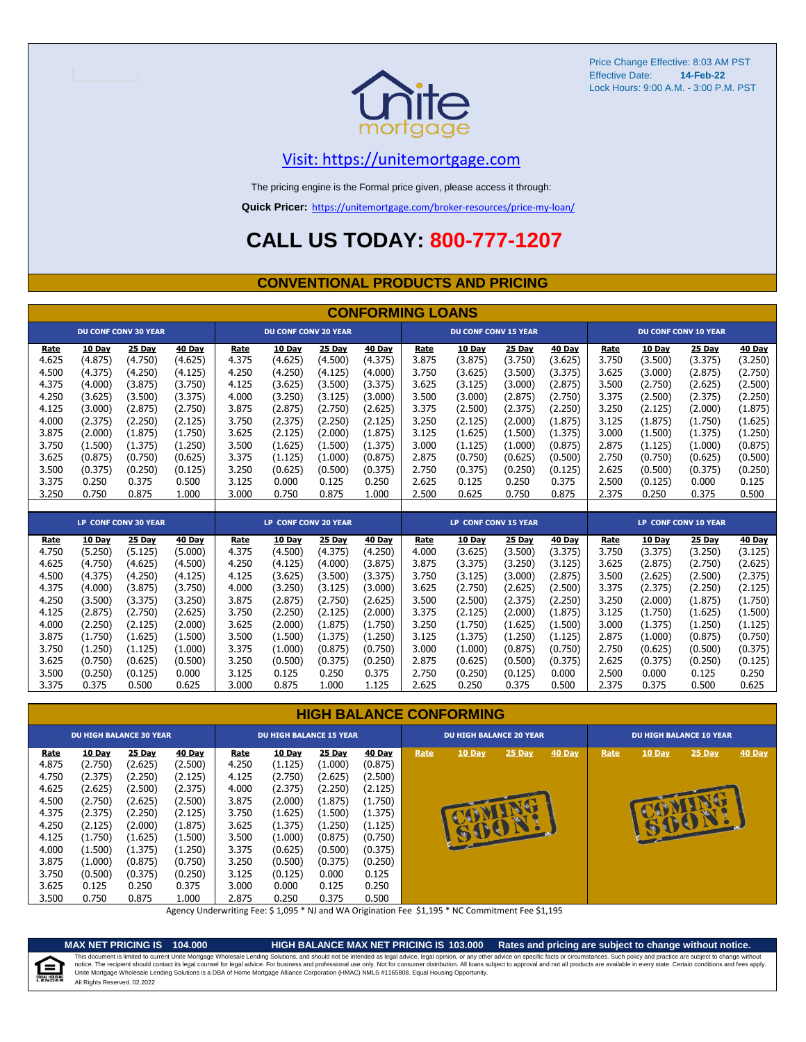

#### [V](https://unitemortgage.com/)isit: https://unitemortgage.com

The pricing engine is the Formal price given, please access it through:

**Quick Pricer:** [https://un](https://unitemortgage.com/broker-resources/price-my-loan/)itemortgage.com/broker-resources/price-my-loan/

### **CALL US TODAY: 800-777-1207**

#### **CONVENTIONAL PRODUCTS AND PRICING**

| <b>CONFORMING LOANS</b> |         |                             |         |                      |                             |         |                             |       |                             |         |         |       |                             |         |         |  |
|-------------------------|---------|-----------------------------|---------|----------------------|-----------------------------|---------|-----------------------------|-------|-----------------------------|---------|---------|-------|-----------------------------|---------|---------|--|
|                         |         | <b>DU CONF CONV 30 YEAR</b> |         |                      | <b>DU CONF CONV 20 YEAR</b> |         |                             |       | <b>DU CONF CONV 15 YEAR</b> |         |         |       | <b>DU CONF CONV 10 YEAR</b> |         |         |  |
| Rate                    | 10 Day  | 25 Day                      | 40 Day  | Rate                 | 10 Day                      | 25 Day  | 40 Day                      | Rate  | 10 Day                      | 25 Day  | 40 Day  | Rate  | 10 Day                      | 25 Day  | 40 Day  |  |
| 4.625                   | (4.875) | (4.750)                     | (4.625) | 4.375                | (4.625)                     | (4.500) | (4.375)                     | 3.875 | (3.875)                     | (3.750) | (3.625) | 3.750 | (3.500)                     | (3.375) | (3.250) |  |
| 4.500                   | (4.375) | (4.250)                     | (4.125) | 4.250                | (4.250)                     | (4.125) | (4.000)                     | 3.750 | (3.625)                     | (3.500) | (3.375) | 3.625 | (3.000)                     | (2.875) | (2.750) |  |
| 4.375                   | (4.000) | (3.875)                     | (3.750) | 4.125                | (3.625)                     | (3.500) | (3.375)                     | 3.625 | (3.125)                     | (3.000) | (2.875) | 3.500 | (2.750)                     | (2.625) | (2.500) |  |
| 4.250                   | (3.625) | (3.500)                     | (3.375) | 4.000                | (3.250)                     | (3.125) | (3.000)                     | 3.500 | (3.000)                     | (2.875) | (2.750) | 3.375 | (2.500)                     | (2.375) | (2.250) |  |
| 4.125                   | (3.000) | (2.875)                     | (2.750) | 3.875                | (2.875)                     | (2.750) | (2.625)                     | 3.375 | (2.500)                     | (2.375) | (2.250) | 3.250 | (2.125)                     | (2.000) | (1.875) |  |
| 4.000                   | (2.375) | (2.250)                     | (2.125) | 3.750                | (2.375)                     | (2.250) | (2.125)                     | 3.250 | (2.125)                     | (2.000) | (1.875) | 3.125 | (1.875)                     | (1.750) | (1.625) |  |
| 3.875                   | (2.000) | (1.875)                     | (1.750) | 3.625                | (2.125)                     | (2.000) | (1.875)                     | 3.125 | (1.625)                     | (1.500) | (1.375) | 3.000 | (1.500)                     | (1.375) | (1.250) |  |
| 3.750                   | (1.500) | (1.375)                     | (1.250) | 3.500                | (1.625)                     | (1.500) | (1.375)                     | 3.000 | (1.125)                     | (1.000) | (0.875) | 2.875 | (1.125)                     | (1.000) | (0.875) |  |
| 3.625                   | (0.875) | (0.750)                     | (0.625) | 3.375                | (1.125)                     | (1.000) | (0.875)                     | 2.875 | (0.750)                     | (0.625) | (0.500) | 2.750 | (0.750)                     | (0.625) | (0.500) |  |
| 3.500                   | (0.375) | (0.250)                     | (0.125) | 3.250                | (0.625)                     | (0.500) | (0.375)                     | 2.750 | (0.375)                     | (0.250) | (0.125) | 2.625 | (0.500)                     | (0.375) | (0.250) |  |
| 3.375                   | 0.250   | 0.375                       | 0.500   | 3.125                | 0.000                       | 0.125   | 0.250                       | 2.625 | 0.125                       | 0.250   | 0.375   | 2.500 | (0.125)                     | 0.000   | 0.125   |  |
| 3.250                   | 0.750   | 0.875                       | 1.000   | 3.000                | 0.750                       | 0.875   | 1.000                       | 2.500 | 0.625                       | 0.750   | 0.875   | 2.375 | 0.250                       | 0.375   | 0.500   |  |
|                         |         |                             |         |                      |                             |         |                             |       |                             |         |         |       |                             |         |         |  |
|                         |         | LP CONF CONV 30 YEAR        |         | LP CONF CONV 20 YEAR |                             |         | <b>LP CONF CONV 15 YEAR</b> |       |                             |         |         |       | LP CONF CONV 10 YEAR        |         |         |  |
| Rate                    | 10 Day  | 25 Day                      | 40 Day  | Rate                 | 10 Day                      | 25 Day  | 40 Day                      | Rate  | 10 Day                      | 25 Day  | 40 Day  | Rate  | 10 Day                      | 25 Day  | 40 Day  |  |
| 4.750                   | (5.250) | (5.125)                     | (5.000) | 4.375                | (4.500)                     | (4.375) | (4.250)                     | 4.000 | (3.625)                     | (3.500) | (3.375) | 3.750 | (3.375)                     | (3.250) | (3.125) |  |
| 4.625                   | (4.750) | (4.625)                     | (4.500) | 4.250                | (4.125)                     | (4.000) | (3.875)                     | 3.875 | (3.375)                     | (3.250) | (3.125) | 3.625 | (2.875)                     | (2.750) | (2.625) |  |
| 4.500                   | (4.375) | (4.250)                     | (4.125) | 4.125                | (3.625)                     | (3.500) | (3.375)                     | 3.750 | (3.125)                     | (3.000) | (2.875) | 3.500 | (2.625)                     | (2.500) | (2.375) |  |
| 4.375                   | (4.000) | (3.875)                     | (3.750) | 4.000                | (3.250)                     | (3.125) | (3.000)                     | 3.625 | (2.750)                     | (2.625) | (2.500) | 3.375 | (2.375)                     | (2.250) | (2.125) |  |
| 4.250                   | (3.500) | (3.375)                     | (3.250) | 3.875                | (2.875)                     | (2.750) | (2.625)                     | 3.500 | (2.500)                     | (2.375) | (2.250) | 3.250 | (2.000)                     | (1.875) | (1.750) |  |
| 4.125                   | (2.875) | (2.750)                     | (2.625) | 3.750                | (2.250)                     | (2.125) | (2.000)                     | 3.375 | (2.125)                     | (2.000) | (1.875) | 3.125 | (1.750)                     | (1.625) | (1.500) |  |
| 4.000                   | (2.250) | (2.125)                     | (2.000) | 3.625                | (2.000)                     | (1.875) | (1.750)                     | 3.250 | (1.750)                     | (1.625) | (1.500) | 3.000 | (1.375)                     | (1.250) | (1.125) |  |
| 3.875                   | (1.750) | (1.625)                     | (1.500) | 3.500                | (1.500)                     | (1.375) | (1.250)                     | 3.125 | (1.375)                     | (1.250) | (1.125) | 2.875 | (1.000)                     | (0.875) | (0.750) |  |
| 3.750                   | (1.250) | (1.125)                     | (1.000) | 3.375                | (1.000)                     | (0.875) | (0.750)                     | 3.000 | (1.000)                     | (0.875) | (0.750) | 2.750 | (0.625)                     | (0.500) | (0.375) |  |
| 3.625                   | (0.750) | (0.625)                     | (0.500) | 3.250                | (0.500)                     | (0.375) | (0.250)                     | 2.875 | (0.625)                     | (0.500) | (0.375) | 2.625 | (0.375)                     | (0.250) | (0.125) |  |
| 3.500                   | (0.250) | (0.125)                     | 0.000   | 3.125                | 0.125                       | 0.250   | 0.375                       | 2.750 | (0.250)                     | (0.125) | 0.000   | 2.500 | 0.000                       | 0.125   | 0.250   |  |
| 3.375                   | 0.375   | 0.500                       | 0.625   | 3.000                | 0.875                       | 1.000   | 1.125                       | 2.625 | 0.250                       | 0.375   | 0.500   | 2.375 | 0.375                       | 0.500   | 0.625   |  |

#### **HIGH BALANCE CONFORMING**

|             | <b>DU HIGH BALANCE 30 YEAR</b> |               |         |       | <b>DU HIGH BALANCE 15 YEAR</b> |         |               |      | <b>DU HIGH BALANCE 20 YEAR</b> |          |        |      | <b>DU HIGH BALANCE 10 YEAR</b> |          |               |  |  |
|-------------|--------------------------------|---------------|---------|-------|--------------------------------|---------|---------------|------|--------------------------------|----------|--------|------|--------------------------------|----------|---------------|--|--|
| <u>Rate</u> | <b>10 Day</b>                  | <b>25 Day</b> | 40 Day  | Rate  | <b>10 Day</b>                  | 25 Day  | <b>40 Day</b> | Rate | <b>10 Day</b>                  | $25$ Day | 40 Day | Rate | <b>10 Day</b>                  | $25$ Day | <b>40 Day</b> |  |  |
| 4.875       | (2.750)                        | (2.625)       | (2.500) | 4.250 | (1.125)                        | (1.000) | (0.875)       |      |                                |          |        |      |                                |          |               |  |  |
| 4.750       | (2.375)                        | (2.250)       | (2.125) | 4.125 | (2.750)                        | (2.625) | (2.500)       |      |                                |          |        |      |                                |          |               |  |  |
| 4.625       | (2.625)                        | (2.500)       | (2.375) | 4.000 | (2.375)                        | (2.250) | (2.125)       |      |                                |          |        |      |                                |          |               |  |  |
| 4.500       | (2.750)                        | (2.625)       | (2.500) | 3.875 | (2.000)                        | (1.875) | (1.750)       |      |                                |          |        |      |                                |          |               |  |  |
| 4.375       | (2.375)                        | (2.250)       | (2.125) | 3.750 | (1.625)                        | (1.500) | (1.375)       |      |                                |          |        |      |                                |          |               |  |  |
| 4.250       | (2.125)                        | (2.000)       | (1.875) | 3.625 | (1.375)                        | (1.250) | (1.125)       |      |                                |          |        |      | B                              |          |               |  |  |
| 4.125       | (1.750)                        | (1.625)       | (1.500) | 3.500 | (1.000)                        | (0.875) | (0.750)       |      | <b>SULLER</b>                  |          |        |      |                                |          |               |  |  |
| 4.000       | (1.500)                        | (1.375)       | (1.250) | 3.375 | (0.625)                        | (0.500) | (0.375)       |      |                                |          |        |      |                                |          |               |  |  |
| 3.875       | (1.000)                        | (0.875)       | (0.750) | 3.250 | (0.500)                        | (0.375) | (0.250)       |      |                                |          |        |      |                                |          |               |  |  |
| 3.750       | (0.500)                        | (0.375)       | (0.250) | 3.125 | (0.125)                        | 0.000   | 0.125         |      |                                |          |        |      |                                |          |               |  |  |
| 3.625       | 0.125                          | 0.250         | 0.375   | 3.000 | 0.000                          | 0.125   | 0.250         |      |                                |          |        |      |                                |          |               |  |  |
| 3.500       | 0.750                          | 0.875         | 1.000   | 2.875 | 0.250                          | 0.375   | 0.500         |      |                                |          |        |      |                                |          |               |  |  |

Agency Underwriting Fee: \$ 1,095 \* NJ and WA Origination Fee \$1,195 \* NC Commitment Fee \$1,195

⋐

**MAX NET PRICING IS 104.000 HIGH BALANCE MAX NET PRICING IS 103.000 Rates and pricing are subject to change without notice.** All Rights Reserved. 02.2022 This document is limited to current Unite Mortgage Wholesale Lending Solutions, and should not be intended as legal advice, legal opinion, or any other advice on specific facts or circumstances. Such policy and practice ar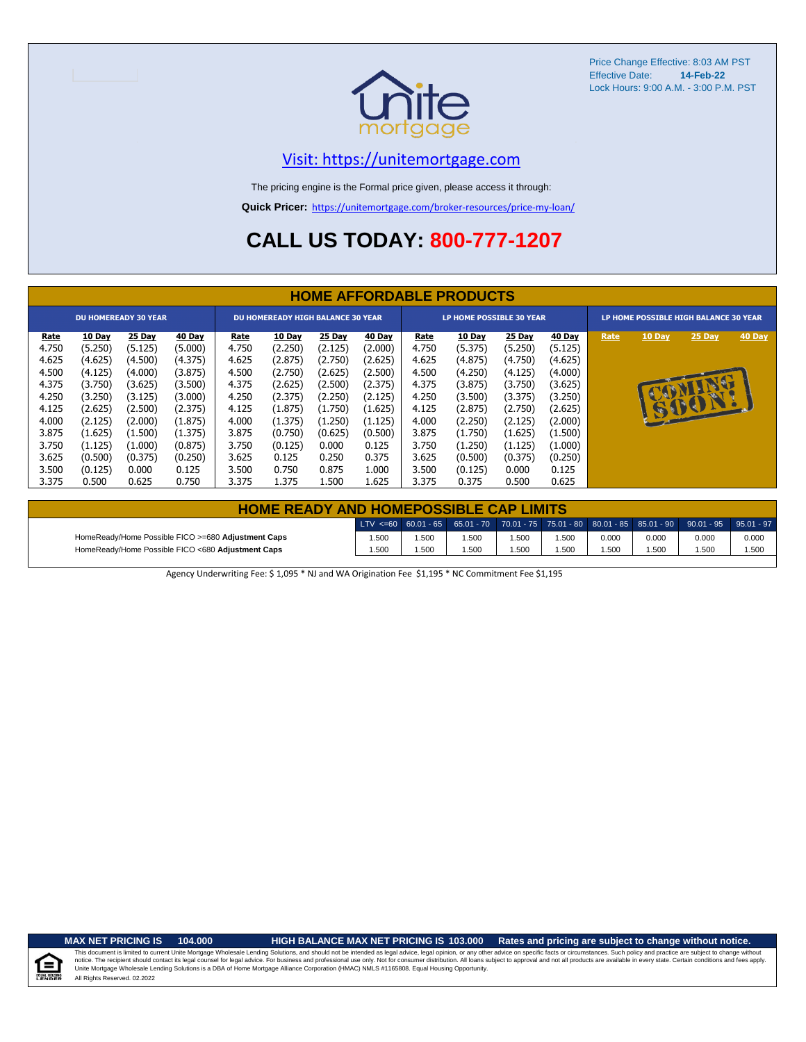

#### [V](https://unitemortgage.com/)isit: https://unitemortgage.com

The pricing engine is the Formal price given, please access it through:

**Quick Pricer:** [https://un](https://unitemortgage.com/broker-resources/price-my-loan/)itemortgage.com/broker-resources/price-my-loan/

# **CALL US TODAY: 800-777-1207**

| <b>HOME AFFORDABLE PRODUCTS</b>                                                     |                                                                                                |                                                                                                |                                                                                                |                                                                                     |                                                                                                       |                                                                                                |                                                                                                |                                                                                     |                                                                                                |                                                                                                       |                                                                                                       |                                       |        |                                |               |
|-------------------------------------------------------------------------------------|------------------------------------------------------------------------------------------------|------------------------------------------------------------------------------------------------|------------------------------------------------------------------------------------------------|-------------------------------------------------------------------------------------|-------------------------------------------------------------------------------------------------------|------------------------------------------------------------------------------------------------|------------------------------------------------------------------------------------------------|-------------------------------------------------------------------------------------|------------------------------------------------------------------------------------------------|-------------------------------------------------------------------------------------------------------|-------------------------------------------------------------------------------------------------------|---------------------------------------|--------|--------------------------------|---------------|
|                                                                                     |                                                                                                | <b>DU HOMEREADY 30 YEAR</b>                                                                    |                                                                                                | <b>DU HOMEREADY HIGH BALANCE 30 YEAR</b>                                            |                                                                                                       |                                                                                                |                                                                                                | <b>LP HOME POSSIBLE 30 YEAR</b>                                                     |                                                                                                |                                                                                                       |                                                                                                       | LP HOME POSSIBLE HIGH BALANCE 30 YEAR |        |                                |               |
| <u>Rate</u><br>4.750<br>4.625<br>4.500<br>4.375<br>4.250<br>4.125<br>4.000<br>3.875 | 10 Day<br>(5.250)<br>(4.625)<br>(4.125)<br>(3.750)<br>(3.250)<br>(2.625)<br>(2.125)<br>(1.625) | 25 Day<br>(5.125)<br>(4.500)<br>(4.000)<br>(3.625)<br>(3.125)<br>(2.500)<br>(2.000)<br>(1.500) | 40 Day<br>(5.000)<br>(4.375)<br>(3.875)<br>(3.500)<br>(3.000)<br>(2.375)<br>(1.875)<br>(1.375) | <u>Rate</u><br>4.750<br>4.625<br>4.500<br>4.375<br>4.250<br>4.125<br>4.000<br>3.875 | <b>10 Day</b><br>(2.250)<br>(2.875)<br>(2.750)<br>(2.625)<br>(2.375)<br>(1.875)<br>(1.375)<br>(0.750) | 25 Day<br>(2.125)<br>(2.750)<br>(2.625)<br>(2.500)<br>(2.250)<br>(1.750)<br>(1.250)<br>(0.625) | 40 Day<br>(2.000)<br>(2.625)<br>(2.500)<br>(2.375)<br>(2.125)<br>(1.625)<br>(1.125)<br>(0.500) | <b>Rate</b><br>4.750<br>4.625<br>4.500<br>4.375<br>4.250<br>4.125<br>4.000<br>3.875 | 10 Day<br>(5.375)<br>(4.875)<br>(4.250)<br>(3.875)<br>(3.500)<br>(2.875)<br>(2.250)<br>(1.750) | <b>25 Day</b><br>(5.250)<br>(4.750)<br>(4.125)<br>(3.750)<br>(3.375)<br>(2.750)<br>(2.125)<br>(1.625) | <b>40 Day</b><br>(5.125)<br>(4.625)<br>(4.000)<br>(3.625)<br>(3.250)<br>(2.625)<br>(2.000)<br>(1.500) | Rate                                  | 10 Day | 25 Day<br><b>TANK</b><br>15101 | <b>40 Day</b> |
| 3.750<br>3.625<br>3.500<br>3.375                                                    | (1.125)<br>(0.500)<br>(0.125)<br>0.500                                                         | (1.000)<br>(0.375)<br>0.000<br>0.625                                                           | (0.875)<br>(0.250)<br>0.125<br>0.750                                                           | 3.750<br>3.625<br>3.500<br>3.375                                                    | (0.125)<br>0.125<br>0.750<br>1.375                                                                    | 0.000<br>0.250<br>0.875<br>1.500                                                               | 0.125<br>0.375<br>1.000<br>1.625                                                               | 3.750<br>3.625<br>3.500<br>3.375                                                    | (1.250)<br>(0.500)<br>(0.125)<br>0.375                                                         | (1.125)<br>(0.375)<br>0.000<br>0.500                                                                  | (1.000)<br>(0.250)<br>0.125<br>0.625                                                                  |                                       |        |                                |               |

| <b>HOME READY AND HOMEPOSSIBLE CAP LIMITS</b>      |       |      |       |       |      |       |       |                                                                                                     |       |  |  |  |
|----------------------------------------------------|-------|------|-------|-------|------|-------|-------|-----------------------------------------------------------------------------------------------------|-------|--|--|--|
|                                                    |       |      |       |       |      |       |       | ULTV <=60 60.01 - 65 65.01 - 70 70.01 - 75 75.01 - 80 80.01 - 85 85.01 - 90 90.01 - 95 95.01 - 97 . |       |  |  |  |
| HomeReady/Home Possible FICO >=680 Adjustment Caps | 1.500 | .500 | 1.500 | 1.500 | .500 | 0.000 | 0.000 | 0.000                                                                                               | 0.000 |  |  |  |
| HomeReady/Home Possible FICO <680 Adjustment Caps  | 1.500 | .500 | 1.500 | 1.500 | .500 | .500  | 1.500 | 1.500                                                                                               | 1.500 |  |  |  |

Agency Underwriting Fee: \$ 1,095 \* NJ and WA Origination Fee \$1,195 \* NC Commitment Fee \$1,195

#### **MAX NET PRICING IS 104.000 HIGH BALANCE MAX NET PRICING IS 103.000 Rates and pricing are subject to change without notice.**

All Rights Reserved. 02.2022 This document is limited to current Unite Mortgage Wholesale Lending Solutions, and should not be intended as legal advice, legal opinion, or any other advice on specific facts or circumstances. Such policy and practice ar notice. The recipient should contact its legal coursel for legal advice. For business and professional use only. Not for consumer distribution. All oans subject to approval and not all products are available in every state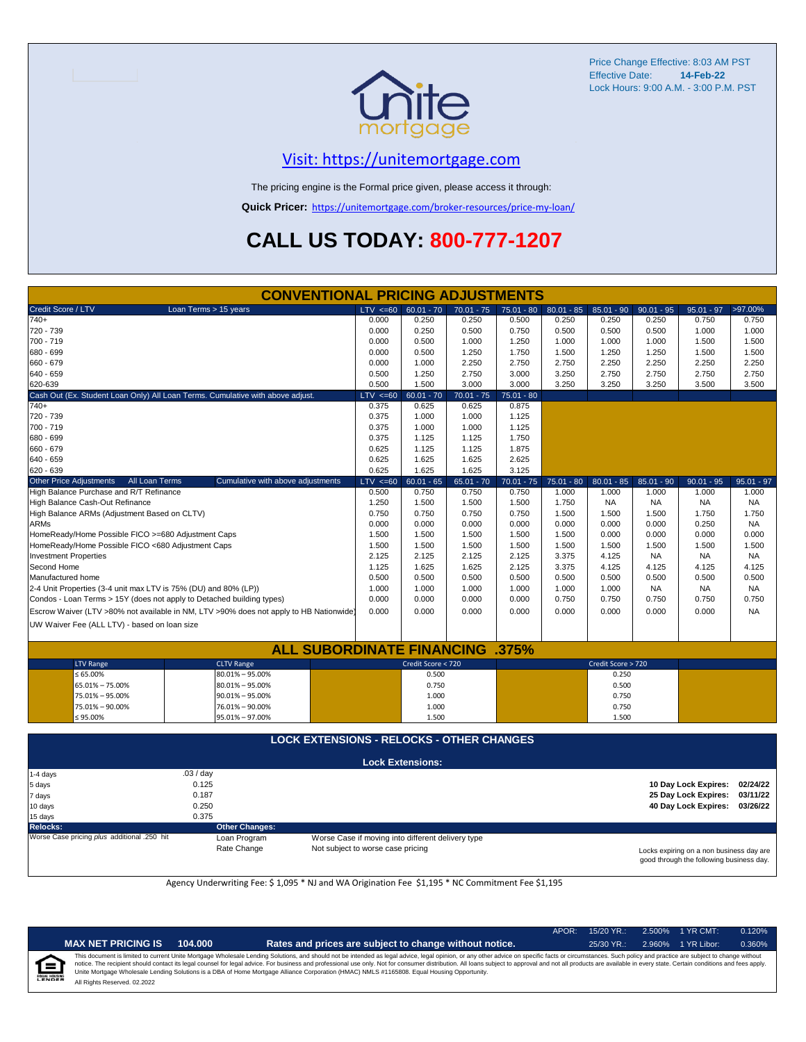

Locks expiring on a non business day are good through the following business day.

### [V](https://unitemortgage.com/)isit: https://unitemortgage.com

The pricing engine is the Formal price given, please access it through:

**Quick Pricer:** [https://un](https://unitemortgage.com/broker-resources/price-my-loan/)itemortgage.com/broker-resources/price-my-loan/

# **CALL US TODAY: 800-777-1207**

|                                                                                        |                       | <b>CONVENTIONAL PRICING ADJUSTMENTS</b>          |              |                                                   |              |              |              |                    |                      |                      |              |
|----------------------------------------------------------------------------------------|-----------------------|--------------------------------------------------|--------------|---------------------------------------------------|--------------|--------------|--------------|--------------------|----------------------|----------------------|--------------|
| Credit Score / LTV                                                                     | Loan Terms > 15 years |                                                  | LTV < 60     | $60.01 - 70$                                      | $70.01 - 75$ | 75.01 - 80   | $80.01 - 85$ | $85.01 - 90$       | $90.01 - 95$         | $95.01 - 97$         | >97.00%      |
| $740+$                                                                                 |                       |                                                  | 0.000        | 0.250                                             | 0.250        | 0.500        | 0.250        | 0.250              | 0.250                | 0.750                | 0.750        |
| 720 - 739                                                                              |                       |                                                  | 0.000        | 0.250                                             | 0.500        | 0.750        | 0.500        | 0.500              | 0.500                | 1.000                | 1.000        |
| 700 - 719                                                                              |                       |                                                  | 0.000        | 0.500                                             | 1.000        | 1.250        | 1.000        | 1.000              | 1.000                | 1.500                | 1.500        |
| 680 - 699                                                                              |                       |                                                  | 0.000        | 0.500                                             | 1.250        | 1.750        | 1.500        | 1.250              | 1.250                | 1.500                | 1.500        |
| 660 - 679                                                                              |                       |                                                  | 0.000        | 1.000                                             | 2.250        | 2.750        | 2.750        | 2.250              | 2.250                | 2.250                | 2.250        |
| 640 - 659                                                                              |                       |                                                  | 0.500        | 1.250                                             | 2.750        | 3.000        | 3.250        | 2.750              | 2.750                | 2.750                | 2.750        |
| 620-639                                                                                |                       | 0.500                                            | 1.500        | 3.000                                             | 3.000        | 3.250        | 3.250        | 3.250              | 3.500                | 3.500                |              |
| Cash Out (Ex. Student Loan Only) All Loan Terms. Cumulative with above adjust.         |                       |                                                  | $LTV \le 60$ | $60.01 - 70$                                      | $70.01 - 75$ | $75.01 - 80$ |              |                    |                      |                      |              |
| $740+$                                                                                 |                       |                                                  | 0.375        | 0.625                                             | 0.625        | 0.875        |              |                    |                      |                      |              |
| 720 - 739                                                                              |                       |                                                  | 0.375        | 1.000                                             | 1.000        | 1.125        |              |                    |                      |                      |              |
| 700 - 719                                                                              |                       |                                                  | 0.375        | 1.000                                             | 1.000        | 1.125        |              |                    |                      |                      |              |
| 680 - 699                                                                              |                       |                                                  | 0.375        | 1.125                                             | 1.125        | 1.750        |              |                    |                      |                      |              |
| 660 - 679                                                                              |                       |                                                  | 0.625        | 1.125                                             | 1.125        | 1.875        |              |                    |                      |                      |              |
| 640 - 659                                                                              |                       |                                                  | 0.625        | 1.625                                             | 1.625        | 2.625        |              |                    |                      |                      |              |
| 620 - 639                                                                              |                       |                                                  | 0.625        | 1.625                                             | 1.625        | 3.125        |              |                    |                      |                      |              |
| <b>Other Price Adjustments</b><br>All Loan Terms                                       |                       | Cumulative with above adjustments                | $LTV < =60$  | $60.01 - 65$                                      | $65.01 - 70$ | $70.01 - 75$ | $75.01 - 80$ | $80.01 - 85$       | $85.01 - 90$         | $90.01 - 95$         | $95.01 - 97$ |
| High Balance Purchase and R/T Refinance                                                |                       |                                                  | 0.500        | 0.750                                             | 0.750        | 0.750        | 1.000        | 1.000              | 1.000                | 1.000                | 1.000        |
| High Balance Cash-Out Refinance                                                        |                       |                                                  | 1.250        | 1.500                                             | 1.500        | 1.500        | 1.750        | NA                 | <b>NA</b>            | <b>NA</b>            | NA           |
| High Balance ARMs (Adjustment Based on CLTV)                                           |                       |                                                  | 0.750        | 0.750                                             | 0.750        | 0.750        | 1.500        | 1.500              | 1.500                | 1.750                | 1.750        |
| <b>ARMs</b>                                                                            |                       |                                                  | 0.000        | 0.000                                             | 0.000        | 0.000        | 0.000        | 0.000              | 0.000                | 0.250                | NA           |
| HomeReady/Home Possible FICO >=680 Adjustment Caps                                     |                       |                                                  | 1.500        | 1.500                                             | 1.500        | 1.500        | 1.500        | 0.000              | 0.000                | 0.000                | 0.000        |
| HomeReady/Home Possible FICO <680 Adjustment Caps                                      |                       |                                                  | 1.500        | 1.500                                             | 1.500        | 1.500        | 1.500        | 1.500              | 1.500                | 1.500                | 1.500        |
| <b>Investment Properties</b>                                                           |                       |                                                  | 2.125        | 2.125                                             | 2.125        | 2.125        | 3.375        | 4.125              | <b>NA</b>            | <b>NA</b>            | NA           |
| Second Home                                                                            |                       |                                                  | 1.125        | 1.625                                             | 1.625        | 2.125        | 3.375        | 4.125              | 4.125                | 4.125                | 4.125        |
| Manufactured home                                                                      |                       |                                                  | 0.500        | 0.500                                             | 0.500        | 0.500        | 0.500        | 0.500              | 0.500                | 0.500                | 0.500        |
| 2-4 Unit Properties (3-4 unit max LTV is 75% (DU) and 80% (LP))                        |                       |                                                  | 1.000        | 1.000                                             | 1.000        | 1.000        | 1.000        | 1.000              | <b>NA</b>            | <b>NA</b>            | <b>NA</b>    |
| Condos - Loan Terms > 15Y (does not apply to Detached building types)                  |                       |                                                  | 0.000        | 0.000                                             | 0.000        | 0.000        | 0.750        | 0.750              | 0.750                | 0.750                | 0.750        |
| Escrow Waiver (LTV >80% not available in NM, LTV >90% does not apply to HB Nationwide) |                       |                                                  | 0.000        | 0.000                                             |              | 0.000        | 0.000        |                    | 0.000                | 0.000                | <b>NA</b>    |
|                                                                                        |                       |                                                  |              |                                                   | 0.000        |              |              | 0.000              |                      |                      |              |
| UW Waiver Fee (ALL LTV) - based on loan size                                           |                       |                                                  |              |                                                   |              |              |              |                    |                      |                      |              |
|                                                                                        |                       | <b>ALL SUBORDINATE FINANCING .375%</b>           |              |                                                   |              |              |              |                    |                      |                      |              |
|                                                                                        |                       |                                                  |              |                                                   |              |              |              |                    |                      |                      |              |
| <b>LTV Range</b>                                                                       | <b>CLTV Range</b>     |                                                  |              | Credit Score < 720                                |              |              |              | Credit Score > 720 |                      |                      |              |
| $\leq 65.00\%$                                                                         | 80.01% - 95.00%       |                                                  |              | 0.500                                             |              |              |              | 0.250              |                      |                      |              |
| 65.01% - 75.00%                                                                        | $80.01\% - 95.00\%$   |                                                  |              | 0.750                                             |              |              |              | 0.500              |                      |                      |              |
| 75.01% - 95.00%                                                                        | $90.01\% - 95.00\%$   |                                                  |              | 1.000                                             |              |              |              | 0.750              |                      |                      |              |
| 75.01% - 90.00%                                                                        | 76.01% - 90.00%       |                                                  |              | 1.000                                             |              |              |              | 0.750              |                      |                      |              |
| ≤ 95.00%                                                                               | 95.01% - 97.00%       |                                                  |              | 1.500                                             |              |              |              | 1.500              |                      |                      |              |
|                                                                                        |                       | <b>LOCK EXTENSIONS - RELOCKS - OTHER CHANGES</b> |              |                                                   |              |              |              |                    |                      |                      |              |
|                                                                                        |                       |                                                  |              |                                                   |              |              |              |                    |                      |                      |              |
|                                                                                        |                       |                                                  |              | <b>Lock Extensions:</b>                           |              |              |              |                    |                      |                      |              |
| 1-4 days                                                                               | .03 / day             |                                                  |              |                                                   |              |              |              |                    |                      |                      |              |
| 5 days                                                                                 | 0.125                 |                                                  |              |                                                   |              |              |              |                    |                      | 10 Day Lock Expires: | 02/24/22     |
| 7 days                                                                                 | 0.187                 |                                                  |              |                                                   |              |              |              |                    |                      | 25 Day Lock Expires: | 03/11/22     |
| 10 days                                                                                | 0.250                 |                                                  |              |                                                   |              |              |              |                    | 40 Day Lock Expires: | 03/26/22             |              |
| 15 days                                                                                | 0.375                 |                                                  |              |                                                   |              |              |              |                    |                      |                      |              |
| <b>Relocks:</b>                                                                        |                       | <b>Other Changes:</b>                            |              |                                                   |              |              |              |                    |                      |                      |              |
| Worse Case pricing plus additional .250 hit                                            | Loan Program          |                                                  |              | Worse Case if moving into different delivery type |              |              |              |                    |                      |                      |              |

Agency Underwriting Fee: \$ 1,095 \* NJ and WA Origination Fee \$1,195 \* NC Commitment Fee \$1,195

Rate Change Not subject to worse case pricing

 $\mathbf{I}_{\text{eff}}$ 

|                  |                              |         |                                                                                                                                                                                                                                                                                                                                                                                                                                                                                                                                                                                                                | APOR: | $15/20$ YR.: | 2.500% 1 YR CMT:   | 0.120% |
|------------------|------------------------------|---------|----------------------------------------------------------------------------------------------------------------------------------------------------------------------------------------------------------------------------------------------------------------------------------------------------------------------------------------------------------------------------------------------------------------------------------------------------------------------------------------------------------------------------------------------------------------------------------------------------------------|-------|--------------|--------------------|--------|
|                  | <b>MAX NET PRICING IS</b>    | 104.000 | Rates and prices are subject to change without notice.                                                                                                                                                                                                                                                                                                                                                                                                                                                                                                                                                         |       | $25/30$ YR.: | 2.960% 1 YR Libor: | 0.360% |
| <b>I HOUSING</b> | All Rights Reserved. 02.2022 |         | This document is limited to current Unite Mortgage Wholesale Lending Solutions, and should not be intended as legal advice, legal opinion, or any other advice on specific facts or circumstances. Such policy and practice ar<br>notice. The recipient should contact its legal counsel for legal advice. For business and professional use only. Not for consumer distribution. All loans subject to approval and not all products are available in every stat<br>Unite Mortgage Wholesale Lending Solutions is a DBA of Home Mortgage Alliance Corporation (HMAC) NMLS #1165808. Equal Housing Opportunity. |       |              |                    |        |